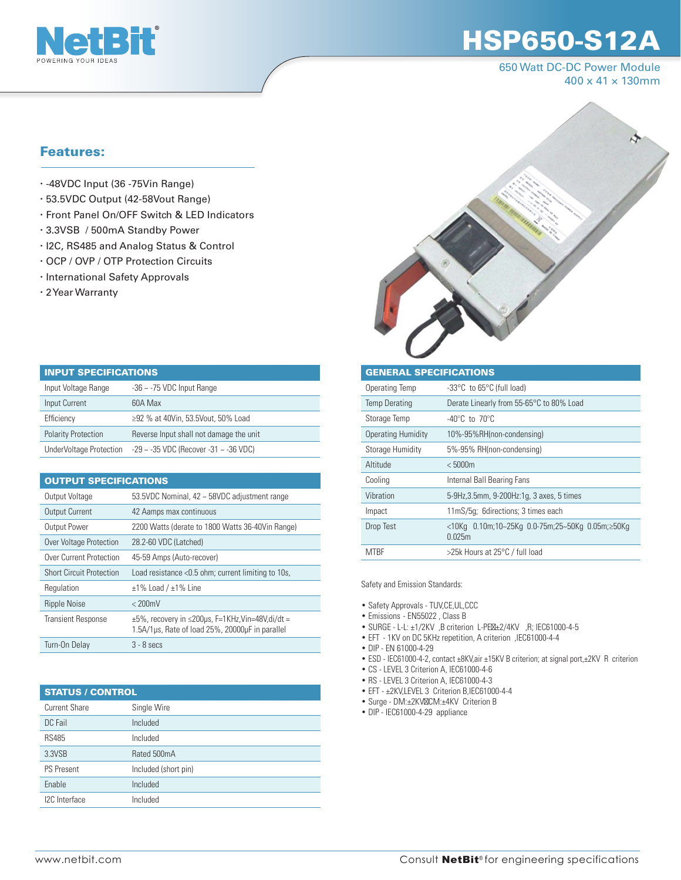

## HSP650-S12A

650 Watt DC-DC Power Module 400 x 41 × 130mm

## Features:

- -48VDC Input (36 -75Vin Range)
- 53.5VDC Output (42-58Vout Range)
- Front Panel On/OFF Switch & LED Indicators
- 3.3VSB / 500mA Standby Power
- I2C, RS485 and Analog Status & Control
- OCP / OVP / OTP Protection Circuits
- · International Safety Approvals
- 2 Year Warranty

| <b>INPUT SPECIFICATIONS</b> |                                         |  |  |  |  |  |  |
|-----------------------------|-----------------------------------------|--|--|--|--|--|--|
| Input Voltage Range         | $-36 \sim -75$ VDC Input Range          |  |  |  |  |  |  |
| Input Current               | 60A Max                                 |  |  |  |  |  |  |
| Efficiency                  | ≥92 % at 40Vin, 53.5Vout, 50% Load      |  |  |  |  |  |  |
| <b>Polarity Protection</b>  | Reverse Input shall not damage the unit |  |  |  |  |  |  |
| UnderVoltage Protection     | -29 ~ -35 VDC (Recover -31 ~ -36 VDC)   |  |  |  |  |  |  |

| <b>OUTPUT SPECIFICATIONS</b>    |                                                                                                                    |  |  |  |  |  |  |
|---------------------------------|--------------------------------------------------------------------------------------------------------------------|--|--|--|--|--|--|
| Output Voltage                  | 53.5VDC Nominal, 42 ~ 58VDC adjustment range                                                                       |  |  |  |  |  |  |
| <b>Output Current</b>           | 42 Aamps max continuous                                                                                            |  |  |  |  |  |  |
| Output Power                    | 2200 Watts (derate to 1800 Watts 36-40Vin Range)                                                                   |  |  |  |  |  |  |
| <b>Over Voltage Protection</b>  | 28.2-60 VDC (Latched)                                                                                              |  |  |  |  |  |  |
| Over Current Protection         | 45-59 Amps (Auto-recover)                                                                                          |  |  |  |  |  |  |
| <b>Short Circuit Protection</b> | Load resistance < 0.5 ohm; current limiting to 10s,                                                                |  |  |  |  |  |  |
| Regulation                      | $±1\%$ Load / $±1\%$ Line                                                                                          |  |  |  |  |  |  |
| <b>Ripple Noise</b>             | $< 200$ mV                                                                                                         |  |  |  |  |  |  |
| <b>Transient Response</b>       | $\pm 5\%$ , recovery in $\leq 200$ us, F=1KHz, Vin=48V, di/dt =<br>1.5A/1µs, Rate of load 25%, 20000µF in parallel |  |  |  |  |  |  |
| Turn-On Delay                   | $3 - 8$ secs                                                                                                       |  |  |  |  |  |  |

| <b>STATUS / CONTROL</b> |                      |  |  |  |  |
|-------------------------|----------------------|--|--|--|--|
| <b>Current Share</b>    | Single Wire          |  |  |  |  |
| DC Fail                 | Included             |  |  |  |  |
| <b>RS485</b>            | Included             |  |  |  |  |
| 3.3VSB                  | Rated 500mA          |  |  |  |  |
| <b>PS Present</b>       | Included (short pin) |  |  |  |  |
| Enable                  | Included             |  |  |  |  |
| I2C Interface           | Included             |  |  |  |  |



| <b>GENERAL SPECIFICATIONS</b> |                                                           |  |  |  |  |  |  |
|-------------------------------|-----------------------------------------------------------|--|--|--|--|--|--|
| Operating Temp                | -33°C to 65°C (full load)                                 |  |  |  |  |  |  |
| <b>Temp Derating</b>          | Derate Linearly from 55-65°C to 80% Load                  |  |  |  |  |  |  |
| Storage Temp                  | $-40^{\circ}$ C to 70 $^{\circ}$ C                        |  |  |  |  |  |  |
| <b>Operating Humidity</b>     | 10%-95%RH(non-condensing)                                 |  |  |  |  |  |  |
| Storage Humidity              | 5%-95% RH(non-condensing)                                 |  |  |  |  |  |  |
| Altitude                      | < 5000m                                                   |  |  |  |  |  |  |
| Cooling                       | Internal Ball Bearing Fans                                |  |  |  |  |  |  |
| Vibration                     | 5-9Hz, 3.5mm, 9-200Hz:1q, 3 axes, 5 times                 |  |  |  |  |  |  |
| Impact                        | 11mS/5q; 6directions; 3 times each                        |  |  |  |  |  |  |
| Drop Test                     | <10Kg 0.10m;10~25Kg 0.0-75m;25~50Kg 0.05m;≥50Kg<br>0.025m |  |  |  |  |  |  |
| <b>MTBF</b>                   | >25k Hours at 25°C / full load                            |  |  |  |  |  |  |

Safety and Emission Standards:

- Safety Approvals TUV,CE,UL,CCC
- Emissions EN55022 , Class B
- SURGE L-L:  $\pm 1/2$ KV, B criterion L-PE  $\pm 2/4$ KV, R; IEC61000-4-5
- EFT 1KV on DC 5KHz repetition, A criterion ,IEC61000-4-4
- DIP EN 61000-4-29
- ESD IEC61000-4-2, contact ±8KV,air ±15KV B criterion; at signal port,±2KV R criterion
- CS LEVEL 3 Criterion A, IEC61000-4-6
- RS LEVEL 3 Criterion A, IEC61000-4-3
- EFT ±2KV,LEVEL 3 Criterion B,IEC61000-4-4
- Surge DM:±2KV CM:±4KV Criterion B
- DIP IEC61000-4-29 appliance